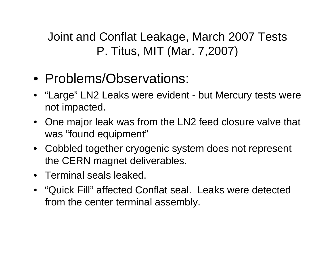Joint and Conflat Leakage, March 2007 Tests P. Titus, MIT (Mar. 7,2007)

- Problems/Observations:
- "Large" LN2 Leaks were evident but Mercury tests were not impacted.
- One major leak was from the LN2 feed closure valve that was "found equipment"
- Cobbled together cryogenic system does not represent the CERN magnet deliverables.
- Terminal seals leaked.
- "Quick Fill" affected Conflat seal. Leaks were detected from the center terminal assembly.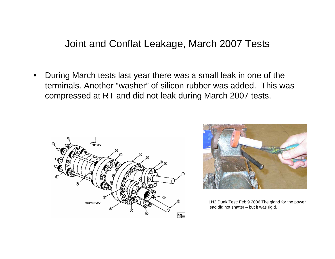Joint and Conflat Leakage, March 2007 Tests

• During March tests last year there was a small leak in one of the terminals. Another "washer" of silicon rubber was added. This was compressed at RT and did not leak during March 2007 tests.





LN2 Dunk Test: Feb 9 2006 The gland for the power lead did not shatter – but it was rigid.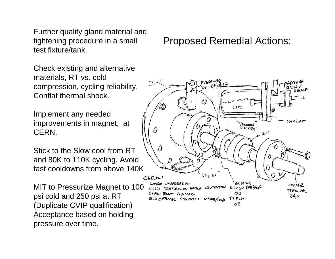Further qualify gland material and tightening procedure in a small test fixture/tank.

Check existing and alternative materials, RT vs. cold compression, cycling reliability, Conflat thermal shock.

Implement any needed improvements in magnet, at CERN.

Stick to the Slow cool from RT and 80K to 110K cycling. Avoid fast cooldowns from above 140K

MIT to Pressurize Magnet to 100 psi cold and 250 psi at RT (Duplicate CVIP qualification) Acceptance based on holding pressure over time.

## Proposed Remedial Actions: